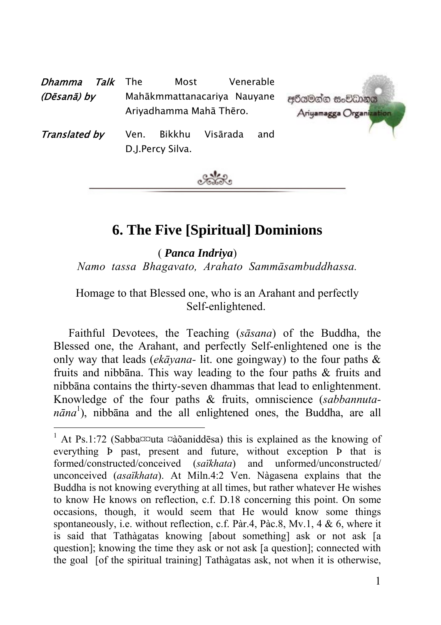| Talk<br>Dhamma | The<br>Most                                            | Venerable       |                                         |
|----------------|--------------------------------------------------------|-----------------|-----------------------------------------|
| (Dēsanā) by    | Mahākmmattanacariya Nauyane<br>Ariyadhamma Mahā Thēro. |                 | අරියමන්න සංවිධානය<br>Ariyamagga Organiz |
| Translated by  | Bikkhu<br>Ven.<br>D.J.Percy Silva.                     | Visārada<br>and |                                         |



# **6. The Five [Spiritual] Dominions**

 ( *Panca Indriya*) *Namo tassa Bhagavato, Arahato Sammāsambuddhassa.* 

### Homage to that Blessed one, who is an Arahant and perfectly Self-enlightened.

Faithful Devotees, the Teaching (*sāsana*) of the Buddha, the Blessed one, the Arahant, and perfectly Self-enlightened one is the only way that leads (*ekāyana-* lit. one goingway) to the four paths & fruits and nibbāna. This way leading to the four paths & fruits and nibbāna contains the thirty-seven dhammas that lead to enlightenment. Knowledge of the four paths & fruits, omniscience (*sabbannutanāna* 1 ), nibbāna and the all enlightened ones, the Buddha, are all

 $\frac{1}{1}$ <sup>1</sup> At Ps.1:72 (Sabba $\infty$ uta  $\infty$ àõaniddēsa) this is explained as the knowing of everything Þ past, present and future, without exception Þ that is formed/constructed/conceived (*saïkhata*) and unformed/unconstructed/ unconceived (*asaïkhata*). At Miln.4:2 Ven. Nàgasena explains that the Buddha is not knowing everything at all times, but rather whatever He wishes to know He knows on reflection, c.f. D.18 concerning this point. On some occasions, though, it would seem that He would know some things spontaneously, i.e. without reflection, c.f. Pàr.4, Pàc.8, Mv.1, 4 & 6, where it is said that Tathàgatas knowing [about something] ask or not ask [a question]; knowing the time they ask or not ask [a question]; connected with the goal [of the spiritual training] Tathàgatas ask, not when it is otherwise,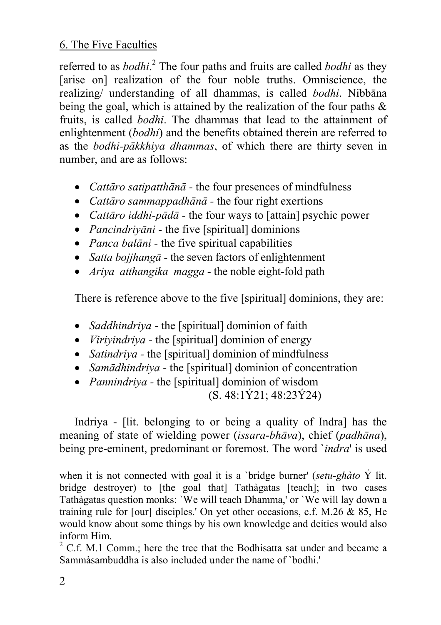referred to as *bodhi*. 2 The four paths and fruits are called *bodhi* as they [arise on] realization of the four noble truths. Omniscience, the realizing/ understanding of all dhammas, is called *bodhi*. Nibbāna being the goal, which is attained by the realization of the four paths  $\&$ fruits, is called *bodhi*. The dhammas that lead to the attainment of enlightenment (*bodhi*) and the benefits obtained therein are referred to as the *bodhi-pākkhiya dhammas*, of which there are thirty seven in number, and are as follows:

- *Cattāro satipatthānā -* the four presences of mindfulness
- *Cattāro sammappadhānā -* the four right exertions
- *Cattāro iddhi-pādā -* the four ways to [attain] psychic power
- *Pancindriyāni -* the five [spiritual] dominions
- *Panca balāni -* the five spiritual capabilities
- *Satta bojjhangā -* the seven factors of enlightenment
- *Ariya atthangika magga* the noble eight-fold path

There is reference above to the five [spiritual] dominions, they are:

- *Saddhindriva* the [spiritual] dominion of faith
- *Viriyindriya -* the [spiritual] dominion of energy
- *Satindriya -* the [spiritual] dominion of mindfulness
- *Samādhindriya -* the [spiritual] dominion of concentration
- *Pannindriya -* the [spiritual] dominion of wisdom

(S. 48:1Ý21; 48:23Ý24)

Indriya - [lit. belonging to or being a quality of Indra] has the meaning of state of wielding power (*issara*-*bhāva*), chief (*padhāna*), being pre-eminent, predominant or foremost. The word `*indra*' is used

l when it is not connected with goal it is a `bridge burner' (*setu-ghàto* Ý lit. bridge destroyer) to [the goal that] Tathàgatas [teach]; in two cases Tathàgatas question monks: `We will teach Dhamma,' or `We will lay down a training rule for [our] disciples.' On yet other occasions, c.f. M.26 & 85, He would know about some things by his own knowledge and deities would also inform Him. <sup>2</sup>

 $2^2$  C.f. M.1 Comm.; here the tree that the Bodhisatta sat under and became a Sammàsambuddha is also included under the name of `bodhi.'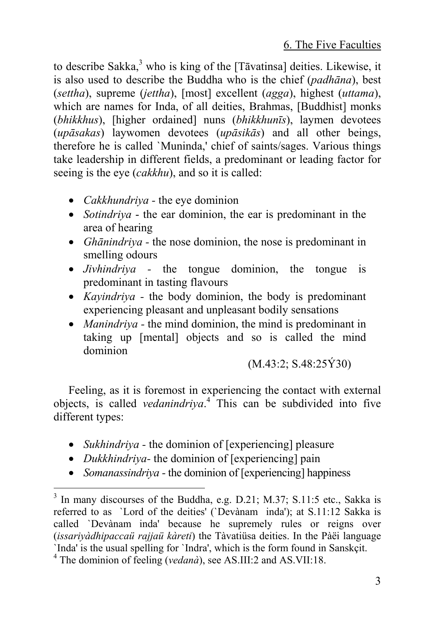to describe Sakka, $3$  who is king of the [Tāvatinsa] deities. Likewise, it is also used to describe the Buddha who is the chief (*padhāna*), best (*settha*), supreme (*jettha*), [most] excellent (*agga*), highest (*uttama*), which are names for Inda, of all deities, Brahmas, [Buddhist] monks (*bhikkhus*), [higher ordained] nuns (*bhikkhunīs*), laymen devotees (*upāsakas*) laywomen devotees (*upāsikās*) and all other beings, therefore he is called `Muninda,' chief of saints/sages. Various things take leadership in different fields, a predominant or leading factor for seeing is the eye (*cakkhu*), and so it is called:

- *Cakkhundriya -* the eye dominion
- *Sotindriya* the ear dominion, the ear is predominant in the area of hearing
- *Ghānindriya* the nose dominion, the nose is predominant in smelling odours
- *Jivhindriya* the tongue dominion, the tongue is predominant in tasting flavours
- *Kayindriya -* the body dominion, the body is predominant experiencing pleasant and unpleasant bodily sensations
- *Manindriva* the mind dominion, the mind is predominant in taking up [mental] objects and so is called the mind dominion

(M.43:2; S.48:25Ý30)

Feeling, as it is foremost in experiencing the contact with external objects, is called *vedanindriya*. 4 This can be subdivided into five different types:

- *Sukhindriya* the dominion of [experiencing] pleasure
- *Dukkhindriya-* the dominion of [experiencing] pain
- *Somanassindriva* the dominion of [experiencing] happiness

<sup>&</sup>lt;sup>2</sup><br>3  $3$  In many discourses of the Buddha, e.g. D.21; M.37; S.11:5 etc., Sakka is referred to as `Lord of the deities' (`Devànam inda'); at S.11:12 Sakka is called `Devànaminda' because he supremely rules or reigns over (*issariyàdhipaccaü rajjaü kàreti*) the Tàvatiüsa deities. In the Pàëi language `Inda' is the usual spelling for `Indra', which is the form found in Sanskçit. 4

The dominion of feeling (*vedanà*), see AS.III:2 and AS.VII:18.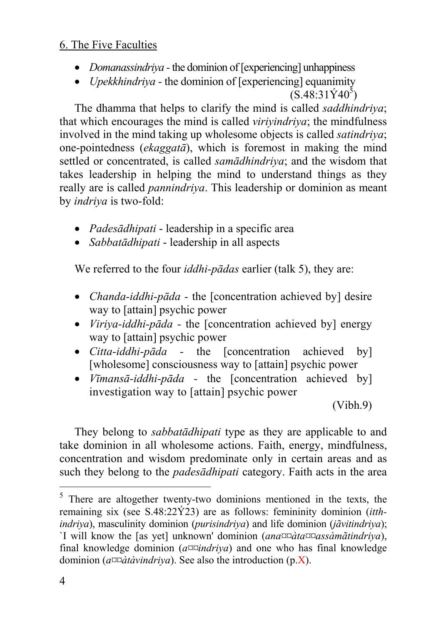- *Domanassindriva* the dominion of [experiencing] unhappiness
- *Upekkhindriva* the dominion of [experiencing] equanimity  $(S.48.31\dot{Y}40^5)$

The dhamma that helps to clarify the mind is called *saddhindriya*; that which encourages the mind is called *viriyindriya*; the mindfulness involved in the mind taking up wholesome objects is called *satindriya*; one-pointedness (*ekaggatā*), which is foremost in making the mind settled or concentrated, is called *samādhindriya*; and the wisdom that takes leadership in helping the mind to understand things as they really are is called *pannindriya*. This leadership or dominion as meant by *indriya* is two-fold:

- *Padesādhipati* leadership in a specific area
- *Sabbatādhipati* leadership in all aspects

We referred to the four *iddhi-pādas* earlier (talk 5), they are:

- *Chanda-iddhi-pāda* the [concentration achieved by] desire way to [attain] psychic power
- *Viriya-iddhi-pāda -* the [concentration achieved by] energy way to [attain] psychic power
- *Citta-iddhi-pāda -* the [concentration achieved by] [wholesome] consciousness way to [attain] psychic power
- *Vīmansā-iddhi-pāda -* the [concentration achieved by] investigation way to [attain] psychic power

(Vibh.9)

They belong to *sabbatādhipati* type as they are applicable to and take dominion in all wholesome actions. Faith, energy, mindfulness, concentration and wisdom predominate only in certain areas and as such they belong to the *padesādhipati* category. Faith acts in the area

 <sup>5</sup> There are altogether twenty-two dominions mentioned in the texts, the remaining six (see S.48:22Ý23) are as follows: femininity dominion (*itthindriya*), masculinity dominion (*purisindriya*) and life dominion (*jãvitindriya*); `I will know the [as yet] unknown' dominion (*ana¤¤àta¤¤assàmãtindriya*), final knowledge dominion (*a¤¤indriya*) and one who has final knowledge dominion (*a¤¤àtàvindriya*). See also the introduction (p.X).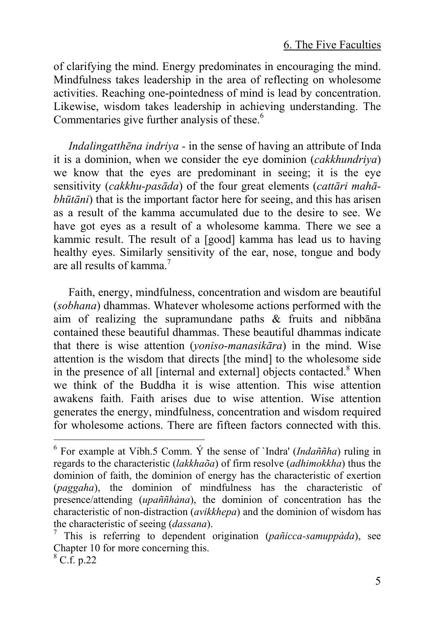of clarifying the mind. Energy predominates [in](#page-4-0) encouraging the mind. Mindfulness takes leadership in the area of reflecting on wholesome activities. Reaching one-pointedness of mind is lead by concentration. Likewise, wisdom takes leadership in achieving understanding. The Commentaries give further analysis of these.<sup>6</sup>

*Indalingatthēna indriya -* in the sense of having an attribute of Inda it is a dominion, when we consider the eye dominion (*cakkhundriya*) we know that the eyes are predominant in seeing; it is the eye sensitivity (*cakkhu-pasāda*) of the four great elements (*cattāri mahābhūtāni*) that is the important factor here for seeing, and this has arisen as a result of the kamma accumulated due to the desire to see. We have got eyes as a result of a wholesome kamma. There we see a kammic result. The result of a [good] kamma has lead us to having healthy eyes. Similarly sensitivity of the ear, nose, tongue and body are all results of kamma. 7

Faith, energy, mindfulness, concentration and wisdom are beautiful (*sobhana*) dhammas. Whatever wholesome actions performed with the aim of realizing the supramundane paths & fruits and nibbāna contained these beautiful dhammas. These beautiful dhammas indicate that there is wise attention (*yoniso-manasikāra*) in the mind. Wise attention is the wisdom that directs [the mind] to the wholesome side in the presence of all [internal and external] objects contacted.<sup>8</sup> When we think of the Buddha it is wise attention. This wise attention awakens faith. Faith arises due to wise attention. Wise attention generates the energy, mindfulness, concentration and wisdom required for wholesome actions. There are fifteen factors connected with this.

 $\frac{1}{6}$  $6$  For example at Vibh.5 Comm.  $\acute{Y}$  the sense of `Indra' *(Indaññha*) ruling in regards to the characteristic (*lakkhaõa*) of firm resolve (*adhimokkha*) thus the dominion of faith, the dominion of energy has the characteristic of exertion (*paggaha*), the dominion of mindfulness has the characteristic of presence/attending (*upaññhàna*), the dominion of concentration has the characteristic of non-distraction (*avikkhepa*) and the dominion of wisdom has the characteristic of seeing (*dassana*). 7

<span id="page-4-0"></span> $\frac{7}{7}$  This is referring to dependent origination (*pañicca-samuppàda*), see Chapter 10 for more concerning this.

 $8 \overline{\text{C}}$ .f. p.22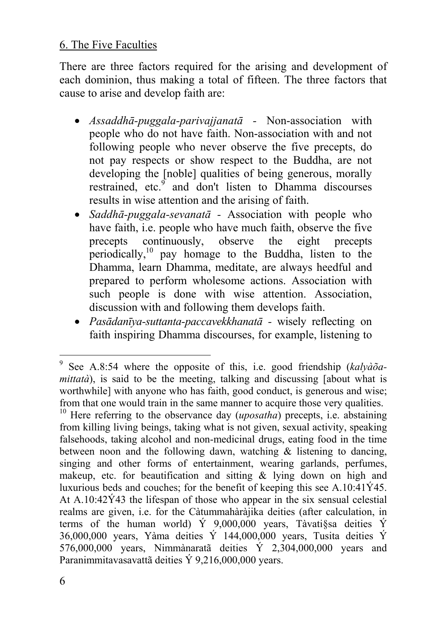There are three factors required for the arising and development of each dominion, thus making a total of fifteen. The three factors that cause to arise and develop faith are:

- *Assaddhā-puggala-parivajjanatā* Non-association with people who do not have faith. Non-association with and not following people who never observe the five precepts, do not pay respects or show respect to the Buddha, are not developing the [noble] qualities of being generous, morally restrained, etc.<sup>9</sup> and don't listen to Dhamma discourses results in wise attention and the arising of faith.
- *Saddhā-puggala-sevanatā -* Association with people who have faith, i.e. people who have much faith, observe the five precepts continuously, observe the eight precepts periodically,<sup>10</sup> pay homage to the Buddha, listen to the Dhamma, learn Dhamma, meditate, are always heedful and prepared to perform wholesome actions. Association with such people is done with wise attention. Association, discussion with and following them develops faith.
- *Pasādanīya-suttanta-paccavekkhanatā* wisely reflecting on faith inspiring Dhamma discourses, for example, listening to

<sup>-&</sup>lt;br>9 <sup>9</sup> See A.8:54 where the opposite of this, i.e. good friendship (kalyàõa*mittatà*), is said to be the meeting, talking and discussing [about what is worthwhile] with anyone who has faith, good conduct, is generous and wise; from that one would train in the same manner to acquire those very qualities.

<sup>&</sup>lt;sup>10</sup> Here referring to the observance day (*uposatha*) precepts, i.e. abstaining from killing living beings, taking what is not given, sexual activity, speaking falsehoods, taking alcohol and non-medicinal drugs, eating food in the time between noon and the following dawn, watching  $\&$  listening to dancing, singing and other forms of entertainment, wearing garlands, perfumes, makeup, etc. for beautification and sitting & lying down on high and luxurious beds and couches; for the benefit of keeping this see A.10:41Ý45. At A.10:42Ý43 the lifespan of those who appear in the six sensual celestial realms are given, i.e. for the Càtummahàràjika deities (after calculation, in terms of the human world) Ý 9,000,000 years, Tàvati§sa deities Ý 36,000,000 years, Yàma deities Ý  $144,000,000$  years, Tusita deities Ý 576,000,000 years, Nimmànaratã deities Ý 2,304,000,000 years and Paranimmitavasavattã deities Ý 9,216,000,000 years.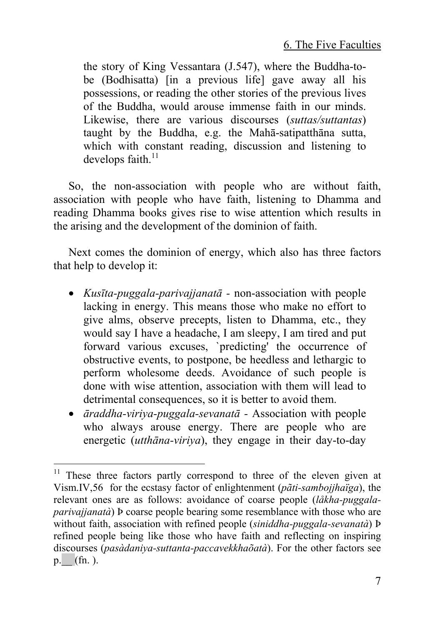the story of King Vessantara (J.547), where the Buddha-tobe (Bodhisatta) [in a previous life] gave away all his possessions, or reading the other stories of the previous lives of the Buddha, would arouse immense faith in our minds. Likewise, there are various discourses (*suttas/suttantas*) taught by the Buddha, e.g. the Mahā-satipatthāna sutta, which with constant reading, discussion and listening to develops faith $11$ 

So, the non-association with people who are without faith, association with people who have faith, listening to Dhamma and reading Dhamma books gives rise to wise attention which results in the arising and the development of the dominion of faith.

Next comes the dominion of energy, which also has three factors that help to develop it:

- *Kusīta-puggala-parivajjanatā* non-association with people lacking in energy. This means those who make no effort to give alms, observe precepts, listen to Dhamma, etc., they would say I have a headache, I am sleepy, I am tired and put forward various excuses, `predicting' the occurrence of obstructive events, to postpone, be heedless and lethargic to perform wholesome deeds. Avoidance of such people is done with wise attention, association with them will lead to detrimental consequences, so it is better to avoid them.
- *āraddha-viriya-puggala-sevanatā* Association with people who always arouse energy. There are people who are energetic (*utthāna-viriya*), they engage in their day-to-day

<sup>&</sup>lt;sup>11</sup> These three factors partly correspond to three of the eleven given at Vism.IV,56 for the ecstasy factor of enlightenment (*pãti-sambojjhaïga*), the relevant ones are as follows: avoidance of coarse people (*låkha-puggalaparivajjanatà*) Þ coarse people bearing some resemblance with those who are without faith, association with refined people (*siniddha-puggala-sevanatà*) Þ refined people being like those who have faith and reflecting on inspiring discourses (*pasàdaniya-suttanta-paccavekkhaõatà*). For the other factors see  $p.$  (fn. ).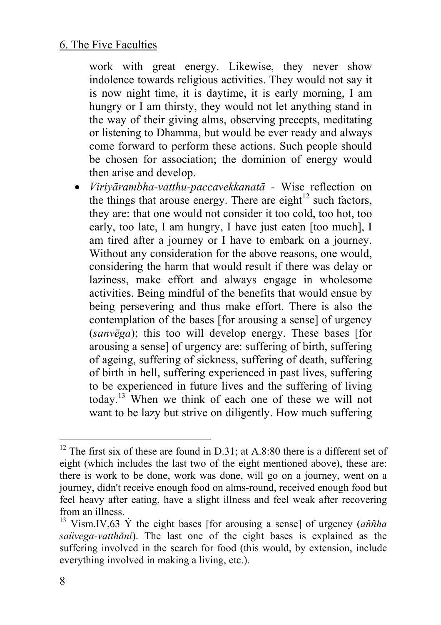work with great energy. Likewise, they never show indolence towards religious activities. They would not say it is now night time, it is daytime, it is early morning, I am hungry or I am thirsty, they would not let anything stand in the way of their giving alms, observing precepts, meditating or listening to Dhamma, but would be ever ready and always come forward to perform these actions. Such people should be chosen for association; the dominion of energy would then arise and develop.

• *Viriyārambha-vatthu-pacc[ave](#page-7-0)kkanatā -* Wise reflection on the things that arouse energy. There are eight $^{12}$  such factors, they are: that one would not consider it too cold, too hot, too early, too late, I am hungry, I have just eaten [too much], I am tired after a journey or I have to embark on a journey. Without any consideration for the above reasons, one would, considering the harm that would result if there was delay or laziness, make effort and always engage in wholesome activities. Being mindful of the benefits that would ensue by being persevering and thus make effort. There is also the contemplation of the bases [for arousing a sense] of urgency (*sanvēga*); this too will develop energy. These bases [for arousing a sense] of urgency are: suffering of birth, suffering of ageing, suffering of sickness, suffering of death, suffering of birth in hell, suffering experienced in past lives, suffering to be experienced in future lives and the suffering of living today. <sup>13</sup> When we think of each one of these we will not want to be lazy but strive on diligently. How much suffering

 $12$  The first six of these are found in D.31; at A.8:80 there is a different set of eight (which includes the last two of the eight mentioned above), these are: there is work to be done, work was done, will go on a journey, went on a journey, didn't receive enough food on alms-round, received enough food but feel heavy after eating, have a slight illness and feel weak after recovering from an illness. 13 Vism.IV,63 Ý the eight bases [for arousing a sense] of urgency (*aññha* 

<span id="page-7-0"></span>*saüvega-vatthåni*). The last one of the eight bases is explained as the suffering involved in the search for food (this would, by extension, include everything involved in making a living, etc.).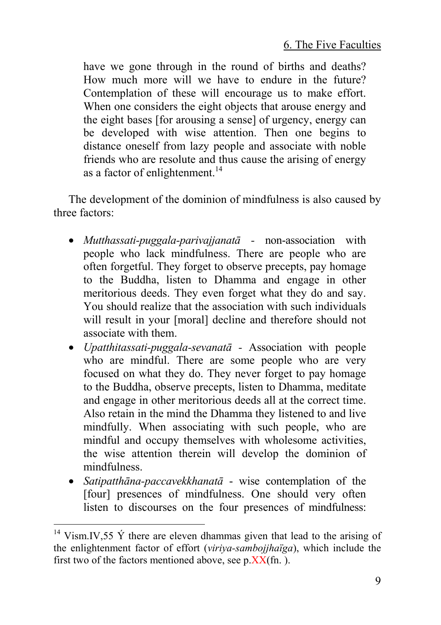have we gone through in the round of births and deaths? How much more will we have to endure in the future? Contemplation of these will encourage us to make effort. When one considers the eight objects that arouse energy and the eight bases [for arousing a sense] of urgency, energy can be developed with wise attention. Then one begins to distance oneself from lazy people and associate with noble friends who are resolute and thus cause the arising of energy as a factor of enlightenment.<sup>14</sup>

The development of the dominion of mindfulness is also caused by three factors:

- *Mutthassati-puggala-parivajjanatā -* non-association with people who lack mindfulness. There are people who are often forgetful. They forget to observe precepts, pay homage to the Buddha, listen to Dhamma and engage in other meritorious deeds. They even forget what they do and say. You should realize that the association with such individuals will result in your [moral] decline and therefore should not associate with them.
- *Upatthitassati-puggala-sevanatā* Association with people who are mindful. There are some people who are very focused on what they do. They never forget to pay homage to the Buddha, observe precepts, listen to Dhamma, meditate and engage in other meritorious deeds all at the correct time. Also retain in the mind the Dhamma they listened to and live mindfully. When associating with such people, who are mindful and occupy themselves with wholesome activities, the wise attention therein will develop the dominion of mindfulness.
- *Satipatthāna-paccavekkhanatā* wise contemplation of the [four] presences of mindfulness. One should very often listen to discourses on the four presences of mindfulness:

<sup>&</sup>lt;sup>14</sup> Vism.IV,55  $\acute{Y}$  there are eleven dhammas given that lead to the arising of the enlightenment factor of effort (*viriya-sambojjhaïga*), which include the first two of the factors mentioned above, see  $p$ . $XX$ (fn.).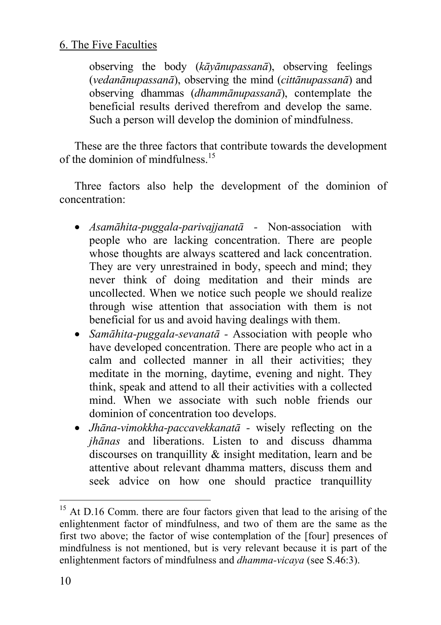observing the body (*kāyānupassanā*), observing feelings (*vedanānupassanā*), observing the mind (*cittānupassanā*) and observing dhammas (*dhammānupassanā*), contemplate the beneficial results derived therefrom and develop the same. Such a person will develop the dominion of mindfulness.

These are the three factors that contribute towards the development of the dominion of mindfulness  $15$ 

Three factors also help the development of the dominion of concentration:

- *Asamāhita-puggala-parivajjanatā* Non-association with people who are lacking concentration. There are people whose thoughts are always scattered and lack concentration. They are very unrestrained in body, speech and mind; they never think of doing meditation and their minds are uncollected. When we notice such people we should realize through wise attention that association with them is not beneficial for us and avoid having dealings with them.
- *Samāhita-puggala-sevanatā -* Association with people who have developed concentration. There are people who act in a calm and collected manner in all their activities; they meditate in the morning, daytime, evening and night. They think, speak and attend to all their activities with a collected mind. When we associate with such noble friends our dominion of concentration too develops.
- *Jhāna-vimokkha-paccavekkanatā -* wisely reflecting on the *jhānas* and liberations. Listen to and discuss dhamma discourses on tranquillity & insight meditation, learn and be attentive about relevant dhamma matters, discuss them and seek advice on how one should practice tranquillity

<sup>&</sup>lt;sup>15</sup> At D.16 Comm, there are four factors given that lead to the arising of the enlightenment factor of mindfulness, and two of them are the same as the first two above; the factor of wise contemplation of the [four] presences of mindfulness is not mentioned, but is very relevant because it is part of the enlightenment factors of mindfulness and *dhamma-vicaya* (see S.46:3).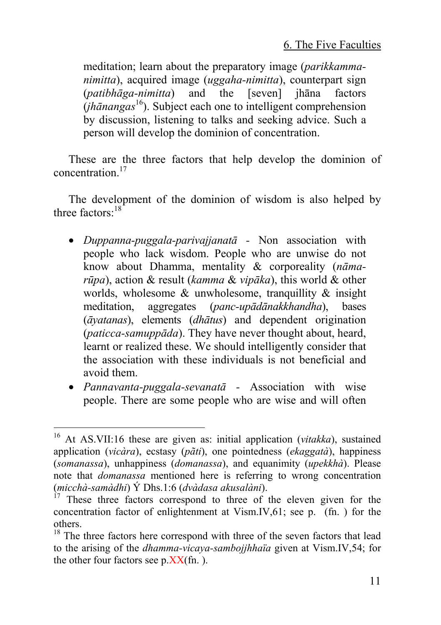meditation; learn about the preparatory image (*parikkammanimitta*), acquired image (*uggaha-nimitta*), counterpart sign (*patibhāga-nimitta*) and the [seven] jhāna factors (*jhānangas* 16). Subject each one to intelligent comprehension by discussion, listening to talks and seeking advice. Such a person will develop the dominion of concentration.

These are the three factors that help develop the dominion of concentration.17

The development of the dominion of wisdom is also helped by three factors<sup>.18</sup>

- *Duppanna-puggala-parivajjanatā* Non association with people who lack wisdom. People who are unwise do not know about Dhamma, mentality & corporeality (*nāmarūpa*), action & result (*kamma* & *vipāka*), this world & other worlds, wholesome  $\&$  unwholesome, tranquillity  $\&$  insight meditation, aggregates (*panc-upādānakkhandha*), bases (*āyatanas*), elements (*dhātus*) and dependent origination (*paticca-samuppāda*). They have never thought about, heard, learnt or realized these. We should intelligently consider that the association with these individuals is not beneficial and avoid them.
- *Pannavanta-puggala-sevanatā -* Association with wise people. There are some people who are wise and will often

 <sup>16</sup> At AS.VII:16 these are given as: initial application (*vitakka*), sustained application (*vicàra*), ecstasy (*pãti*), one pointedness (*ekaggatà*), happiness (*somanassa*), unhappiness (*domanassa*), and equanimity (*upekkhà*). Please note that *domanassa* mentioned here is referring to wrong concentration (*micchà-samàdhi*) Ý Dhs.1:6 (*dvàdasa akusalàni*). 17 These three factors correspond to three of the eleven given for the

concentration factor of enlightenment at Vism.IV,61; see p. (fn. ) for the others.<br><sup>18</sup> The three factors here correspond with three of the seven factors that lead

to the arising of the *dhamma-vicaya-sambojjhhaïa* given at Vism.IV,54; for the other four factors see  $p$ . $XX$ (fn.).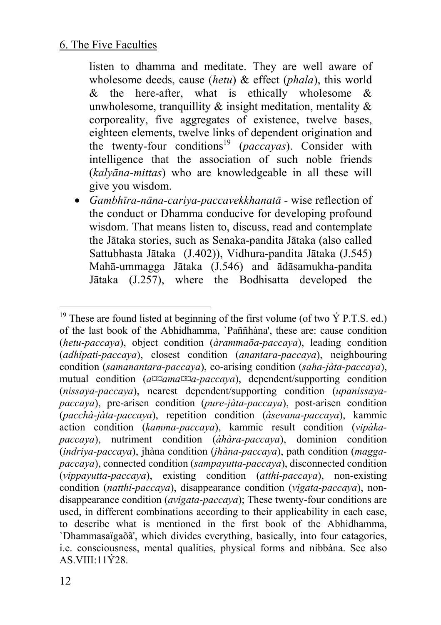listen to dhamma and meditate. They are well aware of wholesome deeds, cause (*hetu*) & effect (*phala*), this world  $\&$  the here-after, what is ethically wholesome  $\&$ unwholesome, tranquillity  $\&$  insight meditation, mentality  $\&$ corporeality, five aggregates of existence, twelve bases, eighteen elements, twelve links of dependent origination and the twenty-four conditions<sup>19</sup> (*paccayas*). Consider with intelligence that the association of such noble friends (*kalyāna-mittas*) who are knowledgeable in all these will give you wisdom.

• *Gambhīra-nāna-cariya-paccavekkhanatā -* wise reflection of the conduct or Dhamma conducive for developing profound wisdom. That means listen to, discuss, read and contemplate the Jātaka stories, such as Senaka-pandita Jātaka (also called Sattubhasta Jātaka (J.402)), Vidhura-pandita Jātaka (J.545) Mahā-ummagga Jātaka (J.546) and ādāsamukha-pandita Jātaka (J.257), where the Bodhisatta developed the

<sup>&</sup>lt;sup>19</sup> These are found listed at beginning of the first volume (of two  $\acute{Y}$  P.T.S. ed.) of the last book of the Abhidhamma, `Paññhàna', these are: cause condition (*hetu-paccaya*), object condition (*àrammaõa-paccaya*), leading condition (*adhipati-paccaya*), closest condition (*anantara-paccaya*), neighbouring condition (*samanantara-paccaya*), co-arising condition (*saha-jàta-paccaya*), mutual condition (*a¤¤ama¤¤a-paccaya*), dependent/supporting condition (*nissaya-paccaya*), nearest dependent/supporting condition (*upanissayapaccaya*), pre-arisen condition (*pure-jàta-paccaya*), post-arisen condition (*pacchà-jàta-paccaya*), repetition condition (*àsevana-paccaya*), kammic action condition (*kamma-paccaya*), kammic result condition (*vipàkapaccaya*), nutriment condition (*àhàra-paccaya*), dominion condition (*indriya-paccaya*), jhàna condition (*jhàna-paccaya*), path condition (*maggapaccaya*), connected condition (*sampayutta-paccaya*), disconnected condition (*vippayutta-paccaya*), existing condition (*atthi-paccaya*), non-existing condition (*natthi-paccaya*), disappearance condition (*vigata-paccaya*), nondisappearance condition (*avigata-paccaya*); These twenty-four conditions are used, in different combinations according to their applicability in each case, to describe what is mentioned in the first book of the Abhidhamma, `Dhammasaïgaõã', which divides everything, basically, into four catagories, i.e. consciousness, mental qualities, physical forms and nibbàna. See also AS VIII $\cdot$ 11 $\angle$ 28.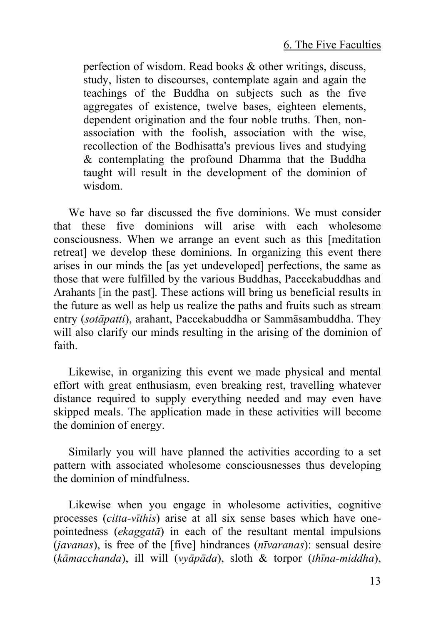perfection of wisdom. Read books & other writings, discuss, study, listen to discourses, contemplate again and again the teachings of the Buddha on subjects such as the five aggregates of existence, twelve bases, eighteen elements, dependent origination and the four noble truths. Then, nonassociation with the foolish, association with the wise, recollection of the Bodhisatta's previous lives and studying & contemplating the profound Dhamma that the Buddha taught will result in the development of the dominion of wisdom.

We have so far discussed the five dominions. We must consider that these five dominions will arise with each wholesome consciousness. When we arrange an event such as this [meditation retreat] we develop these dominions. In organizing this event there arises in our minds the [as yet undeveloped] perfections, the same as those that were fulfilled by the various Buddhas, Paccekabuddhas and Arahants [in the past]. These actions will bring us beneficial results in the future as well as help us realize the paths and fruits such as stream entry (*sotāpatti*), arahant, Paccekabuddha or Sammāsambuddha. They will also clarify our minds resulting in the arising of the dominion of faith.

Likewise, in organizing this event we made physical and mental effort with great enthusiasm, even breaking rest, travelling whatever distance required to supply everything needed and may even have skipped meals. The application made in these activities will become the dominion of energy.

Similarly you will have planned the activities according to a set pattern with associated wholesome consciousnesses thus developing the dominion of mindfulness.

Likewise when you engage in wholesome activities, cognitive processes (*citta-vīthis*) arise at all six sense bases which have onepointedness (*ekaggatā*) in each of the resultant mental impulsions (*javanas*), is free of the [five] hindrances (*nīvaranas*): sensual desire (*kāmacchanda*), ill will (*vyāpāda*), sloth & torpor (*thīna-middha*),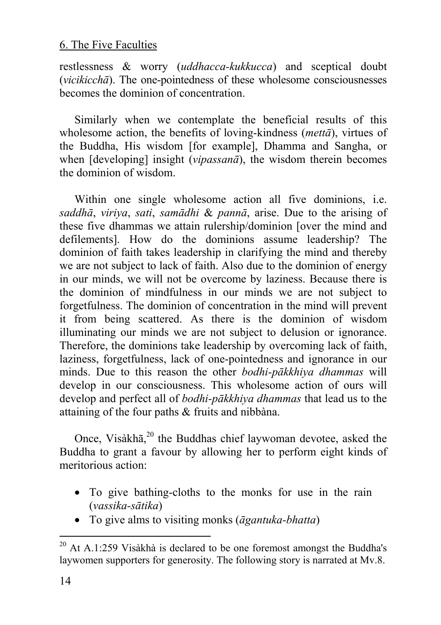restlessness & worry (*uddhacca-kukkucca*) and sceptical doubt (*vicikicchā*). The one-pointedness of these wholesome consciousnesses becomes the dominion of concentration.

Similarly when we contemplate the beneficial results of this wholesome action, the benefits of loving-kindness (*mettā*), virtues of the Buddha, His wisdom [for example], Dhamma and Sangha, or when [developing] insight (*vipassanā*), the wisdom therein becomes the dominion of wisdom.

Within one single wholesome action all five dominions, i.e. *saddhā*, *viriya*, *sati*, *samādhi* & *pannā*, arise. Due to the arising of these five dhammas we attain rulershi[p/d](#page-13-0)ominion [over the mind and defilements]. How do the dominions assume leadership? The dominion of faith takes leadership in clarifying the mind and thereby we are not subject to lack of faith. Also due to the dominion of energy in our minds, we will not be overcome by laziness. Because there is the dominion of mindfulness in our minds we are not subject to forgetfulness. The dominion of concentration in the mind will prevent it from being scattered. As there is the dominion of wisdom illuminating our minds we are not subject to delusion or ignorance. Therefore, the dominions take leadership by overcoming lack of faith, laziness, forgetfulness, lack of one-pointedness and ignorance in our minds. Due to this reason the other *bodhi-pākkhiya dhammas* will develop in our consciousness. This wholesome action of ours will develop and perfect all of *bodhi-pākkhiya dhammas* that lead us to the attaining of the four paths & fruits and nibbàna.

Once, Visàkhā,<sup>20</sup> the Buddhas chief laywoman devotee, asked the Buddha to grant a favour by allowing her to perform eight kinds of meritorious action:

- To give bathing-cloths to the monks for use in the rain (*vassika-sātika*)
- To give alms to visiting monks (*āgantuka-bhatta*)

<span id="page-13-0"></span> $20$  At A.1:259 Visàkhà is declared to be one foremost amongst the Buddha's laywomen supporters for generosity. The following story is narrated at Mv.8.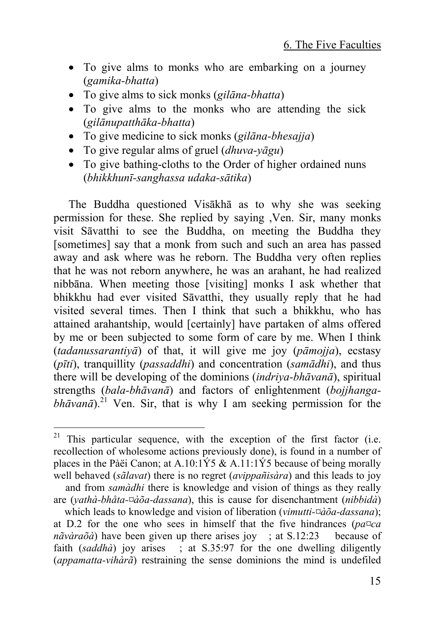- To give alms to monks who are embarking on a journey (*gamika-bhatta*)
- To give alms to sick monks (*gilāna-bhatta*)
- To give alms to the monks who are attending the sick (*gilānupatthāka-bhatta*)
- To give medicine to sick monks (*gilāna-bhesajja*)
- To give regular alms of gruel (*dhuva-yāgu*)
- To give bathing-cloths to the Order of higher ordained nuns (*bhikkhunī-sanghassa udaka-sātika*)

The Buddha questioned [Vis](#page-14-0)ākhā as to why she was seeking permission for these. She replied by saying ,Ven. Sir, many monks visit Sāvatthi to see the Buddha, on meeting the Buddha they [sometimes] say that a monk from such and such an area has passed away and ask where was he reborn. The Buddha very often replies that he was not reborn anywhere, he was an arahant, he had realized nibbāna. When meeting those [visiting] monks I ask whether that bhikkhu had ever visited Sāvatthi, they usually reply that he had visited several times. Then I think that such a bhikkhu, who has attained arahantship, would [certainly] have partaken of alms offered by me or been subjected to some form of care by me. When I think (*tadanussarantiyā*) of that, it will give me joy (*pāmojja*), ecstasy (*pīti*), tranquillity (*passaddhi*) and concentration (*samādhi*), and thus there will be developing of the dominions (*indriya-bhāvanā*), spiritual strengths (*bala-bhāvanā*) and factors of enlightenment (*bojjhanga* $bh\bar{a}v\bar{a}$ <sup>21</sup> Ven. Sir, that is why I am seeking permission for the

<span id="page-14-0"></span> $21$  This particular sequence, with the exception of the first factor (i.e. recollection of wholesome actions previously done), is found in a number of places in the Pàëi Canon; at A.10:1Ý5 & A.11:1Ý5 because of being morally well behaved (*sãlavat*) there is no regret (*avippañisàra*) and this leads to joy

and from *samàdhi* there is knowledge and vision of things as they really are (*yathà-bhåta-¤àõa-dassana*), this is cause for disenchantment (*nibbidà*)

which leads to knowledge and vision of liberation (*vimutti-¤àõa-dassana*); at D.2 for the one who sees in himself that the five hindrances (*pa¤ca nãvàraõà*) have been given up there arises joy ; at S.12:23 because of faith (*saddhà*) joy arises ; at S.35:97 for the one dwelling diligently (*appamatta-vihàrã*) restraining the sense dominions the mind is undefiled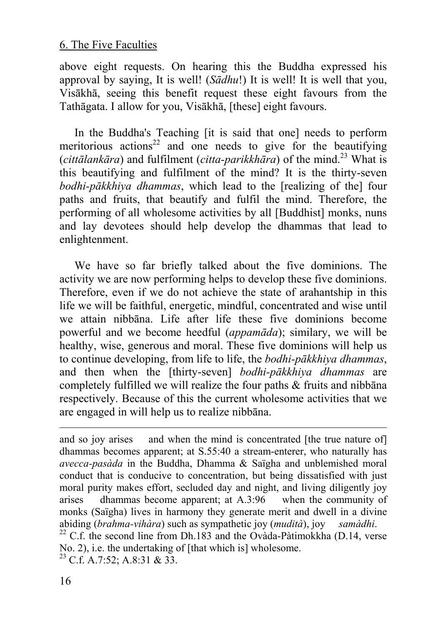above eight requests. On hearing this the Buddha expressed his approval by saying, It is well! (*Sādhu*!) It is well! It is well that you, Visākhā, seeing this benefit request these eight favours from the Tathāgata. I allow for you, Visākhā, [these] eight favours.

In the Buddha's Teaching [it is said that one] needs to perform meritorious actions<sup>22</sup> and one needs to give for the beautifying (*cittālankāra*) and fulfilment (*citta-parikkhāra*) of the mind.23 What is this beautifying and fulfilment of the mind? It is the thirty-seven *bodhi-pākkhiya dhammas*, which lead to the [realizing of the] four paths and fruits, that beautify and fulfil the mind. Therefore, the performing of all wholesome activities by all [Buddhist] monks, nuns and lay devotees should help develop the dhammas that lead to enlightenment.

We have so far briefly talked about the five dominions. The activity we are now performing helps to develop these five dominions. Therefore, even if we do not achieve the state of arahantship in this life we will be faithful, energetic, mindful, concentrated and wise until we attain nibbāna. Life after life these five dominions become powerful and we become heedful (*appamāda*); similary, we will be healthy, wise, generous and moral. These five dominions will help us to continue developing, from life to life, the *bodhi-pākkhiya dhammas*, and then when the [thirty-seven] *bodhi-pākkhiya dhammas* are completely fulfilled we will realize the four paths & fruits and nibbāna respectively. Because of this the current wholesome activities that we are engaged in will help us to realize nibbāna.

and so joy arises and when the mind is concentrated [the true nature of] dhammas becomes apparent; at S.55:40 a stream-enterer, who naturally has *avecca-pasàda* in the Buddha, Dhamma & Saïgha and unblemished moral conduct that is conducive to concentration, but being dissatisfied with just moral purity makes effort, secluded day and night, and living diligently joy arises dhammas become apparent; at A.3:96 when the community of monks (Saïgha) lives in harmony they generate merit and dwell in a divine abiding (*brahma-vihàra*) such as sympathetic joy (*mudità*), joy *samàdhi*. 22 C.f. the second line from Dh.183 and the Ovàda-Pàtimokkha (D.14, verse

No. 2), i.e. the undertaking of [that which is] wholesome.<br><sup>23</sup> C.f. A.7:52; A.8:31 & 33.

l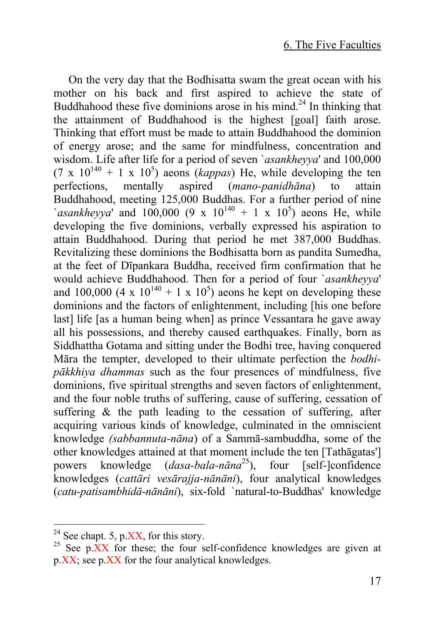On the very day that the Bodhisatta swam the great ocean with his mother on his back and first aspired to achieve the state of Buddhahood these five dominions arose in his mind.<sup>24</sup> In thinking that the attainment of Buddhahood is the highest [goal] faith arose. Thinking that effort must be made to attain Buddhahood the dominion of energy arose; and the same for mindfulness, concentration and wisdom. Life after life for a period of seven `*asankheyya*' and 100,000  $(7 \times 10^{140} + 1 \times 10^5)$  aeons (*kappas*) He, while developing the ten perfections, mentally aspired (*mano-panidhāna*) to attain Buddhahood, meeting 125,000 Buddhas. For a further period of nine  $\alpha$ *asankheyya*' and 100,000 (9 x 10<sup>140</sup> + 1 x 10<sup>5</sup>) aeons He, while developing the five dominions, verbally expressed his aspiration to attain Buddhahood. During that period he met 387,000 Buddhas. Revitalizing these dominions the Bodhisatta born as pandita [Sum](#page-16-0)edha, at the feet of Dīpankara Buddha, received firm confirmation that he would achieve Buddhahood. Then for a period of four `*asankheyya*' and 100,000 (4 x  $10^{140}$  + 1 x  $10^5$ ) aeons he kept on developing these dominions and the factors of enlightenment, including [his one before last] life [as a human being when] as prince Vessantara he gave away all his possessions, and thereby caused earthquakes. Finally, born as Siddhattha Gotama and sitting under the Bodhi tree, having conquered Māra the tempter, developed to their ultimate perfection the *bodhipākkhiya dhammas* such as the four presences of mindfulness, five dominions, five spiritual strengths and seven factors of enlightenment, and the four noble truths of suffering, cause of suffering, cessation of suffering & the path leading to the cessation of suffering, after acquiring various kinds of knowledge, culminated in the omniscient knowledge *(sabbannuta-nāna*) of a Sammā-sambuddha, some of the other knowledges attained at that moment include the ten [Tathāgatas'] powers knowledge (*dasa-bala-nāna* 25), four [self-]confidence knowledges (*cattāri vesārajja-nānāni*), four analytical knowledges (*catu-patisambhidā-nānāni*), six-fold `natural-to-Buddhas' knowledge

<span id="page-16-0"></span>

<sup>&</sup>lt;sup>24</sup> See chapt. 5, p.XX, for this story.<br><sup>25</sup> See p.XX for these; the four self-confidence knowledges are given at p.XX; see p.XX for the four analytical knowledges.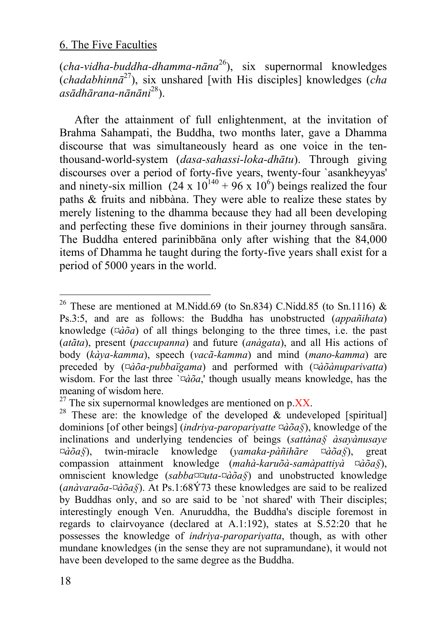(*cha-vidha-buddha-dhamma-nāna* 26), six supernormal knowledges (*chadabhinnā*27), six unshared [with His disciples] knowledges (*cha asādhārana-nānāni*28).

After the attainment of full enlightenment, at the invitation of Brahma Sahampati, the Buddha, two months later, gave a Dhamma discourse that was simultaneously heard as one voice in the tenthousand-world-system (*dasa-sahassi-loka-dhātu*). Through giving discourses over a period of forty-five years, twenty-four `asankheyyas' and ninety-six million  $(24 \times 10^{140} + 96 \times 10^6)$  beings realized the four paths & fruits and nibbàna. They were able to realize these states by merely listening to the dhamma because they had all been developing and perfecting these five dominions in their journey through sansāra. The Buddha entered parinibbāna only after wishing that the 84,000 items of Dhamma he taught during the forty-five years shall exist for a period of 5000 years in the world.

<sup>&</sup>lt;sup>26</sup> These are mentioned at M.Nidd.69 (to Sn.834) C.Nidd.85 (to Sn.1116)  $\&$ Ps.3:5, and are as follows: the Buddha has unobstructed (*appañihata*) knowledge ( $\alpha \delta a$ ) of all things belonging to the three times, i.e. the past (*atãta*), present (*paccupanna*) and future (*anàgata*), and all His actions of body (*kàya-kamma*), speech (*vacã-kamma*) and mind (*mano-kamma*) are preceded by (*¤àõa-pubbaïgama*) and performed with (*¤àõànuparivatta*) wisdom. For the last three  $\partial \alpha \tilde{\partial} \alpha$ , though usually means knowledge, has the meaning of wisdom here.<br><sup>27</sup> The six supernormal knowledges are mentioned on p.XX.<br><sup>28</sup> These are: the knowledge of the developed & undeveloped [spiritual]

dominions [of other beings] (*indriya-paropariyatte ¤àõa§*), knowledge of the inclinations and underlying tendencies of beings (*sattàna§ àsayànusaye ¤àõa§*), twin-miracle knowledge (*yamaka-pàñihãre ¤àõa§*), great compassion attainment knowledge (*mahà-karuõà-samàpattiyà ¤àõa§*), omniscient knowledge (*sabba¤¤uta-¤àõa§*) and unobstructed knowledge (*anàvaraõa-¤àõa§*). At Ps.1:68Ý73 these knowledges are said to be realized by Buddhas only, and so are said to be `not shared' with Their disciples; interestingly enough Ven. Anuruddha, the Buddha's disciple foremost in regards to clairvoyance (declared at A.1:192), states at S.52:20 that he possesses the knowledge of *indriya-paropariyatta*, though, as with other mundane knowledges (in the sense they are not supramundane), it would not have been developed to the same degree as the Buddha.